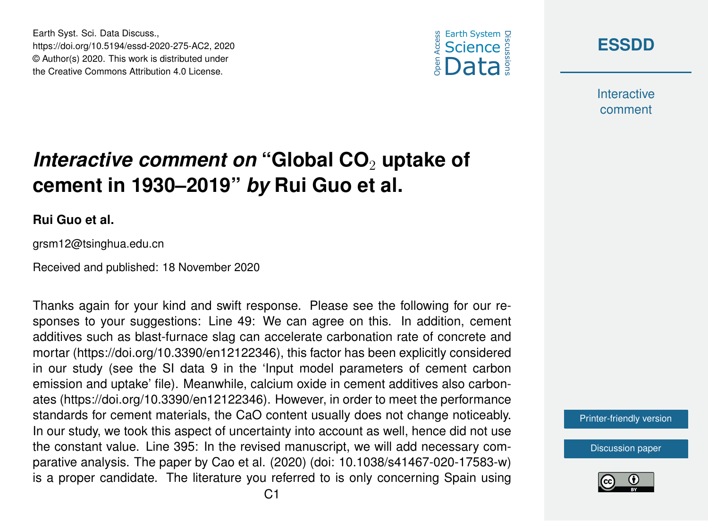





**Interactive** comment

## *Interactive comment on* "Global CO<sub>2</sub> uptake of **cement in 1930–2019"** *by* **Rui Guo et al.**

## **Rui Guo et al.**

grsm12@tsinghua.edu.cn

Received and published: 18 November 2020

Thanks again for your kind and swift response. Please see the following for our responses to your suggestions: Line 49: We can agree on this. In addition, cement additives such as blast-furnace slag can accelerate carbonation rate of concrete and mortar (https://doi.org/10.3390/en12122346), this factor has been explicitly considered in our study (see the SI data 9 in the 'Input model parameters of cement carbon emission and uptake' file). Meanwhile, calcium oxide in cement additives also carbonates (https://doi.org/10.3390/en12122346). However, in order to meet the performance standards for cement materials, the CaO content usually does not change noticeably. In our study, we took this aspect of uncertainty into account as well, hence did not use the constant value. Line 395: In the revised manuscript, we will add necessary comparative analysis. The paper by Cao et al. (2020) (doi: 10.1038/s41467-020-17583-w) is a proper candidate. The literature you referred to is only concerning Spain using

[Printer-friendly version](https://essd.copernicus.org/preprints/essd-2020-275/essd-2020-275-AC2-print.pdf)

[Discussion paper](https://essd.copernicus.org/preprints/essd-2020-275)